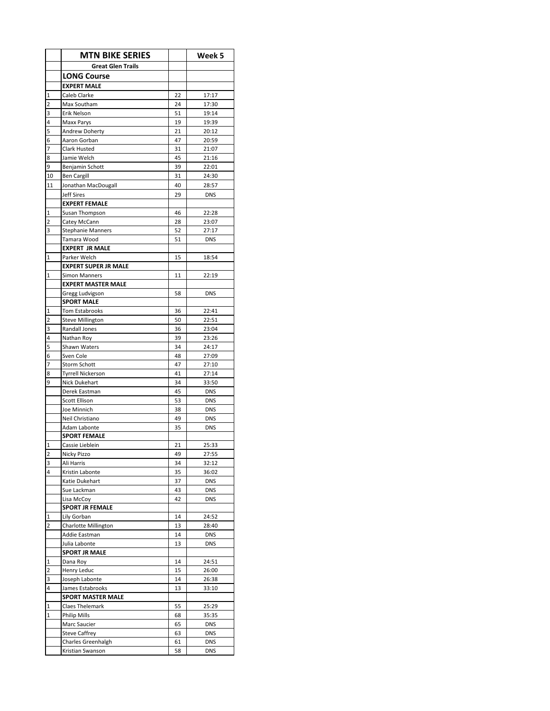|                | <b>MTN BIKE SERIES</b>                     |          | Week 5                   |
|----------------|--------------------------------------------|----------|--------------------------|
|                | <b>Great Glen Trails</b>                   |          |                          |
|                | <b>LONG Course</b>                         |          |                          |
|                | <b>EXPERT MALE</b>                         |          |                          |
| 1              | Caleb Clarke                               | 22       | 17:17                    |
| 2              | Max Southam                                | 24       | 17:30                    |
| 3              | Erik Nelson                                | 51       | 19:14                    |
| 4              | Maxx Parys                                 | 19       | 19:39                    |
| 5              | <b>Andrew Doherty</b>                      | 21       | 20:12                    |
| 6              | Aaron Gorban                               | 47       | 20:59                    |
| 7              | Clark Husted                               | 31       | 21:07                    |
| 8              | Jamie Welch                                | 45       | 21:16                    |
| 9              | Benjamin Schott                            | 39       | 22:01                    |
| 10             | <b>Ben Cargill</b>                         | 31       | 24:30                    |
| 11             | Jonathan MacDougall                        | 40       | 28:57                    |
|                | <b>Jeff Sires</b>                          | 29       | <b>DNS</b>               |
| 1              | <b>EXPERT FEMALE</b><br>Susan Thompson     | 46       | 22:28                    |
| 2              | Catey McCann                               | 28       | 23:07                    |
| 3              | <b>Stephanie Manners</b>                   | 52       | 27:17                    |
|                | Tamara Wood                                | 51       | <b>DNS</b>               |
|                | <b>EXPERT JR MALE</b>                      |          |                          |
| 1              | Parker Welch                               | 15       | 18:54                    |
|                | <b>EXPERT SUPER JR MALE</b>                |          |                          |
| 1              | <b>Simon Manners</b>                       | 11       | 22:19                    |
|                | <b>EXPERT MASTER MALE</b>                  |          |                          |
|                | Gregg Ludvigson                            | 58       | <b>DNS</b>               |
|                | <b>SPORT MALE</b>                          |          |                          |
| 1              | <b>Tom Estabrooks</b>                      | 36       | 22:41                    |
| 2              | <b>Steve Millington</b>                    | 50       | 22:51                    |
| 3              | Randall Jones                              | 36       | 23:04                    |
| 4              | Nathan Roy                                 | 39       | 23:26                    |
| 5<br>6         | Shawn Waters<br>Sven Cole                  | 34<br>48 | 24:17<br>27:09           |
| 7              | <b>Storm Schott</b>                        | 47       | 27:10                    |
| 8              | <b>Tyrrell Nickerson</b>                   | 41       | 27:14                    |
| 9              | Nick Dukehart                              | 34       | 33:50                    |
|                | Derek Eastman                              | 45       | <b>DNS</b>               |
|                | <b>Scott Ellison</b>                       | 53       | <b>DNS</b>               |
|                | Joe Minnich                                | 38       | <b>DNS</b>               |
|                | Neil Christiano                            | 49       | <b>DNS</b>               |
|                | Adam Labonte                               | 35       | <b>DNS</b>               |
|                | <b>SPORT FEMALE</b>                        |          |                          |
| 1              | Cassie Lieblein                            | 21       | 25:33                    |
| 2              | Nicky Pizzo                                | 49       | 27:55                    |
| 3              | Ali Harris                                 | 34       | 32:12                    |
| 4              | Kristin Labonte<br>Katie Dukehart          | 35<br>37 | 36:02<br><b>DNS</b>      |
|                | Sue Lackman                                | 43       | DNS                      |
|                | Lisa McCoy                                 | 42       | <b>DNS</b>               |
|                | <b>SPORT JR FEMALE</b>                     |          |                          |
| 1              | Lily Gorban                                | 14       | 24:52                    |
| $\overline{2}$ | Charlotte Millington                       | 13       | 28:40                    |
|                | Addie Eastman                              | 14       | <b>DNS</b>               |
|                | Julia Labonte                              | 13       | <b>DNS</b>               |
|                | <b>SPORT JR MALE</b>                       |          |                          |
| 1              | Dana Roy                                   | 14       | 24:51                    |
| 2              | Henry Leduc                                | 15       | 26:00                    |
| 3              | Joseph Labonte                             | 14       | 26:38                    |
| 4              | James Estabrooks                           | 13       | 33:10                    |
|                | <b>SPORT MASTER MALE</b>                   |          |                          |
| 1              | Claes Thelemark                            | 55       | 25:29                    |
| 1              | Philip Mills                               | 68       | 35:35                    |
|                | Marc Saucier                               | 65       | <b>DNS</b>               |
|                | <b>Steve Caffrey</b><br>Charles Greenhalgh | 63<br>61 | <b>DNS</b><br><b>DNS</b> |
|                | Kristian Swanson                           | 58       | <b>DNS</b>               |
|                |                                            |          |                          |